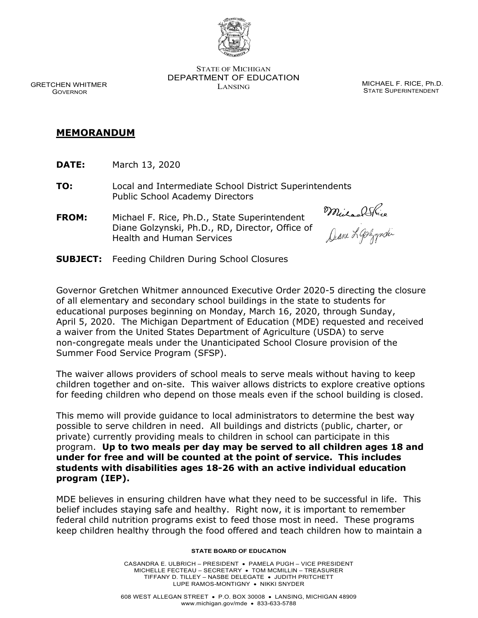

STATE OF MICHIGAN DEPARTMENT OF EDUCATION LANSING CONTROL CONTROL MICHAEL F. RICE, Ph.D.

STATE SUPERINTENDENT

GRETCHEN WHITMER GOVERNOR

# **MEMORANDUM**

**DATE:** March 13, 2020

**TO:** Local and Intermediate School District Superintendents Public School Academy Directors

**FROM:** Michael F. Rice, Ph.D., State Superintendent Diane Golzynski, Ph.D., RD, Director, Office of Health and Human Services

MulaalShice<br>Dane Lashpopoli

**SUBJECT:** Feeding Children During School Closures

Governor Gretchen Whitmer announced Executive Order 2020-5 directing the closure of all elementary and secondary school buildings in the state to students for educational purposes beginning on Monday, March 16, 2020, through Sunday, April 5, 2020. The Michigan Department of Education (MDE) requested and received a waiver from the United States Department of Agriculture (USDA) to serve non-congregate meals under the Unanticipated School Closure provision of the Summer Food Service Program (SFSP).

The waiver allows providers of school meals to serve meals without having to keep children together and on-site. This waiver allows districts to explore creative options for feeding children who depend on those meals even if the school building is closed.

This memo will provide guidance to local administrators to determine the best way possible to serve children in need. All buildings and districts (public, charter, or private) currently providing meals to children in school can participate in this program. **Up to two meals per day may be served to all children ages 18 and under for free and will be counted at the point of service. This includes students with disabilities ages 18-26 with an active individual education program (IEP).**

MDE believes in ensuring children have what they need to be successful in life. This belief includes staying safe and healthy. Right now, it is important to remember federal child nutrition programs exist to feed those most in need. These programs keep children healthy through the food offered and teach children how to maintain a

#### **STATE BOARD OF EDUCATION**

CASANDRA E. ULBRICH – PRESIDENT • PAMELA PUGH – VICE PRESIDENT MICHELLE FECTEAU – SECRETARY • TOM MCMILLIN – TREASURER TIFFANY D. TILLEY – NASBE DELEGATE • JUDITH PRITCHETT LUPE RAMOS-MONTIGNY • NIKKI SNYDER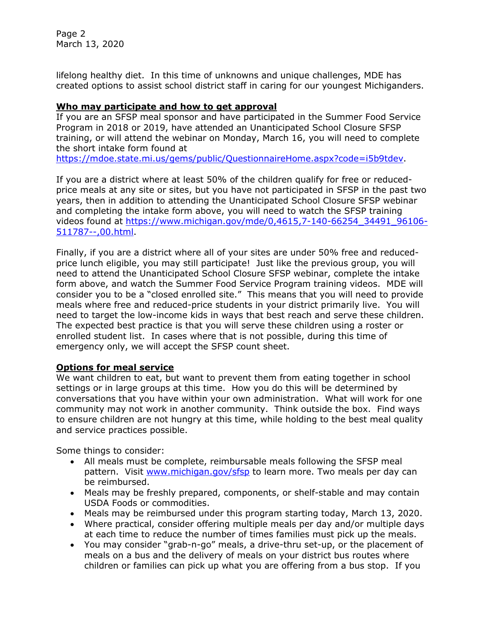Page 2 March 13, 2020

lifelong healthy diet. In this time of unknowns and unique challenges, MDE has created options to assist school district staff in caring for our youngest Michiganders.

### **Who may participate and how to get approval**

If you are an SFSP meal sponsor and have participated in the Summer Food Service Program in 2018 or 2019, have attended an Unanticipated School Closure SFSP training, or will attend the webinar on Monday, March 16, you will need to complete the short intake form found at

[https://mdoe.state.mi.us/gems/public/QuestionnaireHome.aspx?code=i5b9tdev.](https://mdoe.state.mi.us/gems/public/QuestionnaireHome.aspx?code=i5b9tdev)

If you are a district where at least 50% of the children qualify for free or reducedprice meals at any site or sites, but you have not participated in SFSP in the past two years, then in addition to attending the Unanticipated School Closure SFSP webinar and completing the intake form above, you will need to watch the SFSP training videos found at [https://www.michigan.gov/mde/0,4615,7-140-66254\\_34491\\_96106-](https://www.michigan.gov/mde/0,4615,7-140-66254_34491_96106-511787--,00.html) [511787--,00.html.](https://www.michigan.gov/mde/0,4615,7-140-66254_34491_96106-511787--,00.html)

Finally, if you are a district where all of your sites are under 50% free and reducedprice lunch eligible, you may still participate! Just like the previous group, you will need to attend the Unanticipated School Closure SFSP webinar, complete the intake form above, and watch the Summer Food Service Program training videos. MDE will consider you to be a "closed enrolled site." This means that you will need to provide meals where free and reduced-price students in your district primarily live. You will need to target the low-income kids in ways that best reach and serve these children. The expected best practice is that you will serve these children using a roster or enrolled student list. In cases where that is not possible, during this time of emergency only, we will accept the SFSP count sheet.

## **Options for meal service**

We want children to eat, but want to prevent them from eating together in school settings or in large groups at this time. How you do this will be determined by conversations that you have within your own administration. What will work for one community may not work in another community. Think outside the box. Find ways to ensure children are not hungry at this time, while holding to the best meal quality and service practices possible.

Some things to consider:

- All meals must be complete, reimbursable meals following the SFSP meal pattern. Visit [www.michigan.gov/sfsp](http://www.michigan.gov/sfsp) to learn more. Two meals per day can be reimbursed.
- Meals may be freshly prepared, components, or shelf-stable and may contain USDA Foods or commodities.
- Meals may be reimbursed under this program starting today, March 13, 2020.
- Where practical, consider offering multiple meals per day and/or multiple days at each time to reduce the number of times families must pick up the meals.
- You may consider "grab-n-go" meals, a drive-thru set-up, or the placement of meals on a bus and the delivery of meals on your district bus routes where children or families can pick up what you are offering from a bus stop. If you